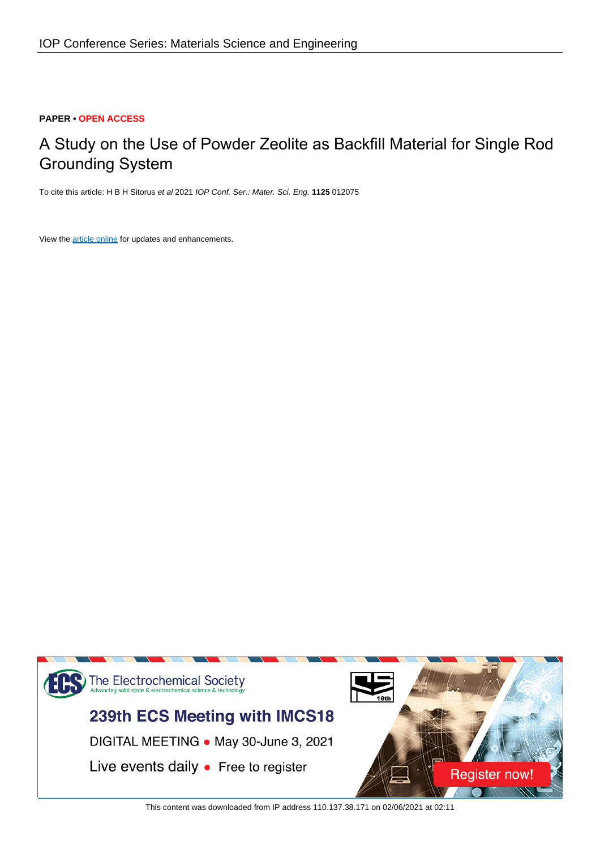## **PAPER • OPEN ACCESS**

# A Study on the Use of Powder Zeolite as Backfill Material for Single Rod Grounding System

To cite this article: H B H Sitorus et al 2021 IOP Conf. Ser.: Mater. Sci. Eng. **1125** 012075

View the [article online](https://doi.org/10.1088/1757-899X/1125/1/012075) for updates and enhancements.



This content was downloaded from IP address 110.137.38.171 on 02/06/2021 at 02:11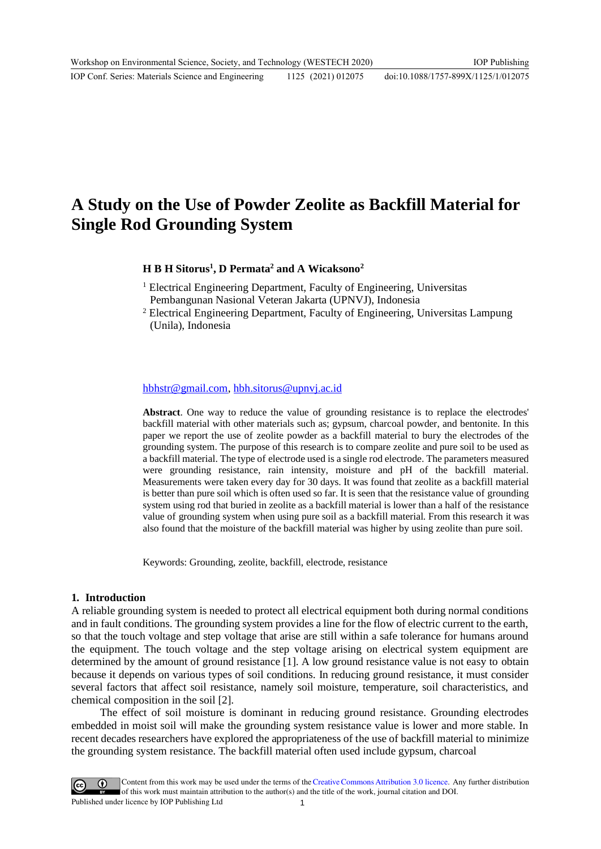# **A Study on the Use of Powder Zeolite as Backfill Material for Single Rod Grounding System**

## **H B H Sitorus<sup>1</sup> , D Permata<sup>2</sup> and A Wicaksono<sup>2</sup>**

- <sup>1</sup> Electrical Engineering Department, Faculty of Engineering, Universitas Pembangunan Nasional Veteran Jakarta (UPNVJ), Indonesia
- <sup>2</sup> Electrical Engineering Department, Faculty of Engineering, Universitas Lampung (Unila), Indonesia

#### [hbhstr@gmail.com,](mailto:hbhstr@gmail.com) [hbh.sitorus@upnvj.ac.id](mailto:hbh.sitorus@upnvj.ac.id)

**Abstract**. One way to reduce the value of grounding resistance is to replace the electrodes' backfill material with other materials such as; gypsum, charcoal powder, and bentonite. In this paper we report the use of zeolite powder as a backfill material to bury the electrodes of the grounding system. The purpose of this research is to compare zeolite and pure soil to be used as a backfill material. The type of electrode used is a single rod electrode. The parameters measured were grounding resistance, rain intensity, moisture and pH of the backfill material. Measurements were taken every day for 30 days. It was found that zeolite as a backfill material is better than pure soil which is often used so far. It is seen that the resistance value of grounding system using rod that buried in zeolite as a backfill material is lower than a half of the resistance value of grounding system when using pure soil as a backfill material. From this research it was also found that the moisture of the backfill material was higher by using zeolite than pure soil.

Keywords: Grounding, zeolite, backfill, electrode, resistance

## **1. Introduction**

A reliable grounding system is needed to protect all electrical equipment both during normal conditions and in fault conditions. The grounding system provides a line for the flow of electric current to the earth, so that the touch voltage and step voltage that arise are still within a safe tolerance for humans around the equipment. The touch voltage and the step voltage arising on electrical system equipment are determined by the amount of ground resistance [1]. A low ground resistance value is not easy to obtain because it depends on various types of soil conditions. In reducing ground resistance, it must consider several factors that affect soil resistance, namely soil moisture, temperature, soil characteristics, and chemical composition in the soil [2].

The effect of soil moisture is dominant in reducing ground resistance. Grounding electrodes embedded in moist soil will make the grounding system resistance value is lower and more stable. In recent decades researchers have explored the appropriateness of the use of backfill material to minimize the grounding system resistance. The backfill material often used include gypsum, charcoal

Content from this work may be used under the terms of theCreative Commons Attribution 3.0 licence. Any further distribution of this work must maintain attribution to the author(s) and the title of the work, journal citation and DOI. Published under licence by IOP Publishing Ltd 1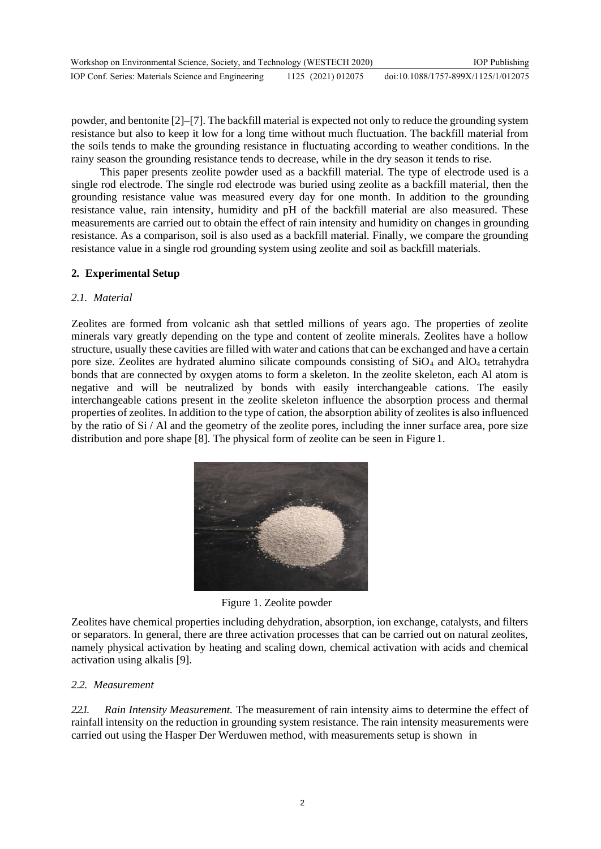powder, and bentonite [2]–[7]. The backfill material is expected not only to reduce the grounding system resistance but also to keep it low for a long time without much fluctuation. The backfill material from the soils tends to make the grounding resistance in fluctuating according to weather conditions. In the rainy season the grounding resistance tends to decrease, while in the dry season it tends to rise.

This paper presents zeolite powder used as a backfill material. The type of electrode used is a single rod electrode. The single rod electrode was buried using zeolite as a backfill material, then the grounding resistance value was measured every day for one month. In addition to the grounding resistance value, rain intensity, humidity and pH of the backfill material are also measured. These measurements are carried out to obtain the effect of rain intensity and humidity on changes in grounding resistance. As a comparison, soil is also used as a backfill material. Finally, we compare the grounding resistance value in a single rod grounding system using zeolite and soil as backfill materials.

## **2. Experimental Setup**

## *2.1. Material*

Zeolites are formed from volcanic ash that settled millions of years ago. The properties of zeolite minerals vary greatly depending on the type and content of zeolite minerals. Zeolites have a hollow structure, usually these cavities are filled with water and cations that can be exchanged and have a certain pore size. Zeolites are hydrated alumino silicate compounds consisting of  $SiO<sub>4</sub>$  and  $AlO<sub>4</sub>$  tetrahydra bonds that are connected by oxygen atoms to form a skeleton. In the zeolite skeleton, each Al atom is negative and will be neutralized by bonds with easily interchangeable cations. The easily interchangeable cations present in the zeolite skeleton influence the absorption process and thermal properties of zeolites. In addition to the type of cation, the absorption ability of zeolites is also influenced by the ratio of Si / Al and the geometry of the zeolite pores, including the inner surface area, pore size distribution and pore shape [8]. The physical form of zeolite can be seen in Figure 1.



Figure 1. Zeolite powder

Zeolites have chemical properties including dehydration, absorption, ion exchange, catalysts, and filters or separators. In general, there are three activation processes that can be carried out on natural zeolites, namely physical activation by heating and scaling down, chemical activation with acids and chemical activation using alkalis [9].

## *2.2. Measurement*

*2.2.1. Rain Intensity Measurement.* The measurement of rain intensity aims to determine the effect of rainfall intensity on the reduction in grounding system resistance. The rain intensity measurements were carried out using the Hasper Der Werduwen method, with measurements setup is shown in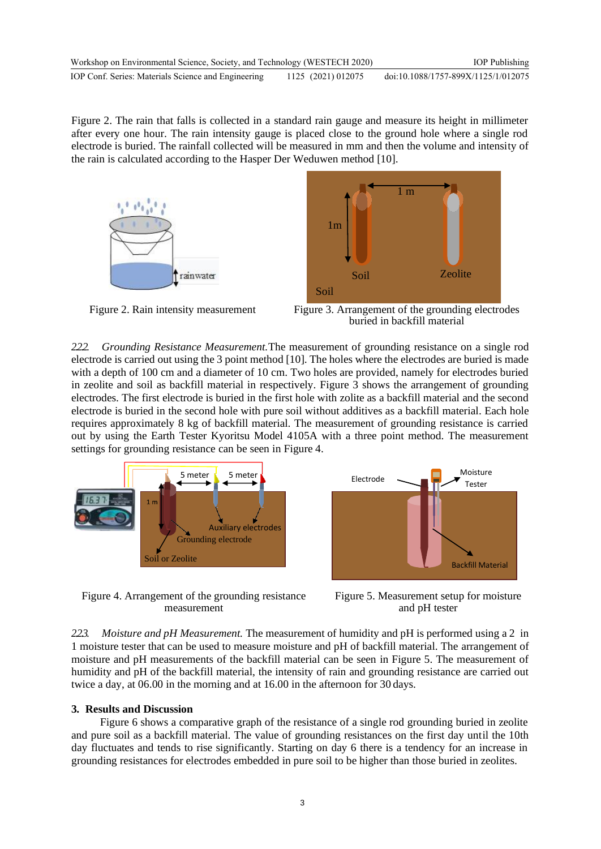Figure 2. The rain that falls is collected in a standard rain gauge and measure its height in millimeter after every one hour. The rain intensity gauge is placed close to the ground hole where a single rod electrode is buried. The rainfall collected will be measured in mm and then the volume and intensity of the rain is calculated according to the Hasper Der Weduwen method [10].





Figure 2. Rain intensity measurement Figure 3. Arrangement of the grounding electrodes buried in backfill material

*2.2.2. Grounding Resistance Measurement.*The measurement of grounding resistance on a single rod electrode is carried out using the 3 point method [10]. The holes where the electrodes are buried is made with a depth of 100 cm and a diameter of 10 cm. Two holes are provided, namely for electrodes buried in zeolite and soil as backfill material in respectively. Figure 3 shows the arrangement of grounding electrodes. The first electrode is buried in the first hole with zolite as a backfill material and the second electrode is buried in the second hole with pure soil without additives as a backfill material. Each hole requires approximately 8 kg of backfill material. The measurement of grounding resistance is carried out by using the Earth Tester Kyoritsu Model 4105A with a three point method. The measurement settings for grounding resistance can be seen in Figure 4.



Figure 4. Arrangement of the grounding resistance measurement



Figure 5. Measurement setup for moisture and pH tester

*2.2.3. Moisture and pH Measurement.* The measurement of humidity and pH is performed using a 2 in 1 moisture tester that can be used to measure moisture and pH of backfill material. The arrangement of moisture and pH measurements of the backfill material can be seen in Figure 5. The measurement of humidity and pH of the backfill material, the intensity of rain and grounding resistance are carried out twice a day, at 06.00 in the morning and at 16.00 in the afternoon for 30 days.

## **3. Results and Discussion**

Figure 6 shows a comparative graph of the resistance of a single rod grounding buried in zeolite and pure soil as a backfill material. The value of grounding resistances on the first day until the 10th day fluctuates and tends to rise significantly. Starting on day 6 there is a tendency for an increase in grounding resistances for electrodes embedded in pure soil to be higher than those buried in zeolites.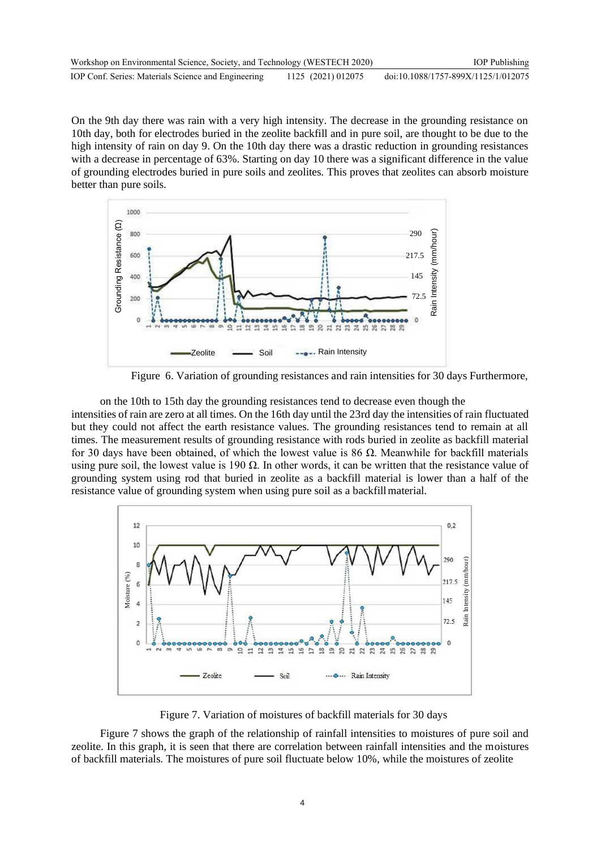On the 9th day there was rain with a very high intensity. The decrease in the grounding resistance on 10th day, both for electrodes buried in the zeolite backfill and in pure soil, are thought to be due to the high intensity of rain on day 9. On the 10th day there was a drastic reduction in grounding resistances with a decrease in percentage of 63%. Starting on day 10 there was a significant difference in the value of grounding electrodes buried in pure soils and zeolites. This proves that zeolites can absorb moisture better than pure soils.



Figure 6. Variation of grounding resistances and rain intensities for 30 days Furthermore,

on the 10th to 15th day the grounding resistances tend to decrease even though the intensities of rain are zero at all times. On the 16th day until the 23rd day the intensities of rain fluctuated but they could not affect the earth resistance values. The grounding resistances tend to remain at all times. The measurement results of grounding resistance with rods buried in zeolite as backfill material for 30 days have been obtained, of which the lowest value is 86 Ω. Meanwhile for backfill materials using pure soil, the lowest value is 190  $\Omega$ . In other words, it can be written that the resistance value of grounding system using rod that buried in zeolite as a backfill material is lower than a half of the resistance value of grounding system when using pure soil as a backfillmaterial.



Figure 7. Variation of moistures of backfill materials for 30 days

Figure 7 shows the graph of the relationship of rainfall intensities to moistures of pure soil and zeolite. In this graph, it is seen that there are correlation between rainfall intensities and the moistures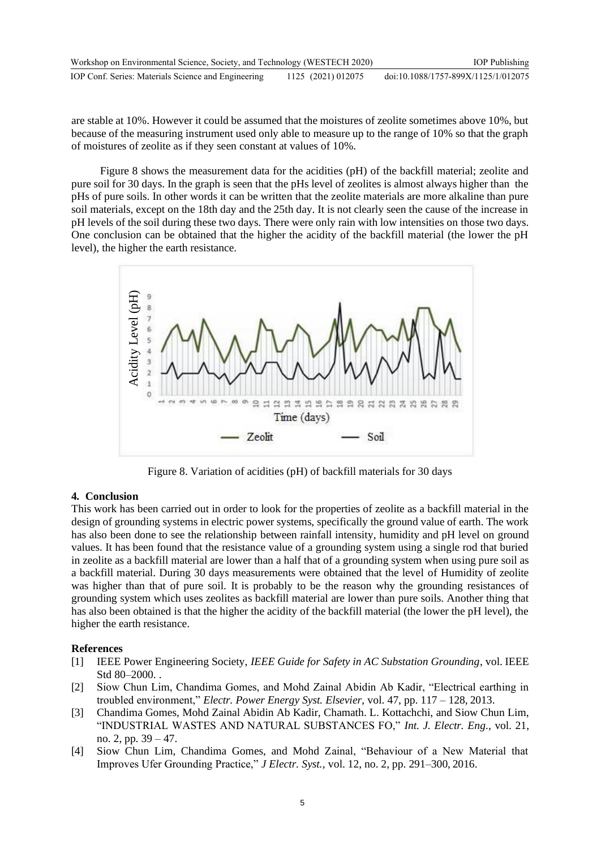| Workshop on Environmental Science, Society, and Technology (WESTECH 2020) |                    | <b>IOP</b> Publishing               |
|---------------------------------------------------------------------------|--------------------|-------------------------------------|
| IOP Conf. Series: Materials Science and Engineering                       | 1125 (2021) 012075 | doi:10.1088/1757-899X/1125/1/012075 |

are stable at 10%. However it could be assumed that the moistures of zeolite sometimes above 10%, but because of the measuring instrument used only able to measure up to the range of 10% so that the graph of moistures of zeolite as if they seen constant at values of 10%.

Figure 8 shows the measurement data for the acidities (pH) of the backfill material; zeolite and pure soil for 30 days. In the graph is seen that the pHs level of zeolites is almost always higher than the pHs of pure soils. In other words it can be written that the zeolite materials are more alkaline than pure soil materials, except on the 18th day and the 25th day. It is not clearly seen the cause of the increase in pH levels of the soil during these two days. There were only rain with low intensities on those two days. One conclusion can be obtained that the higher the acidity of the backfill material (the lower the pH level), the higher the earth resistance.



Figure 8. Variation of acidities (pH) of backfill materials for 30 days

## **4. Conclusion**

This work has been carried out in order to look for the properties of zeolite as a backfill material in the design of grounding systems in electric power systems, specifically the ground value of earth. The work has also been done to see the relationship between rainfall intensity, humidity and pH level on ground values. It has been found that the resistance value of a grounding system using a single rod that buried in zeolite as a backfill material are lower than a half that of a grounding system when using pure soil as a backfill material. During 30 days measurements were obtained that the level of Humidity of zeolite was higher than that of pure soil. It is probably to be the reason why the grounding resistances of grounding system which uses zeolites as backfill material are lower than pure soils. Another thing that has also been obtained is that the higher the acidity of the backfill material (the lower the pH level), the higher the earth resistance.

## **References**

- [1] IEEE Power Engineering Society, *IEEE Guide for Safety in AC Substation Grounding*, vol. IEEE Std 80–2000. .
- [2] Siow Chun Lim, Chandima Gomes, and Mohd Zainal Abidin Ab Kadir, "Electrical earthing in troubled environment," *Electr. Power Energy Syst. Elsevier*, vol. 47, pp. 117 – 128, 2013.
- [3] Chandima Gomes, Mohd Zainal Abidin Ab Kadir, Chamath. L. Kottachchi, and Siow Chun Lim, "INDUSTRIAL WASTES AND NATURAL SUBSTANCES FO," *Int. J. Electr. Eng.*, vol. 21, no. 2, pp.  $39 - 47$ .
- [4] Siow Chun Lim, Chandima Gomes, and Mohd Zainal, "Behaviour of a New Material that